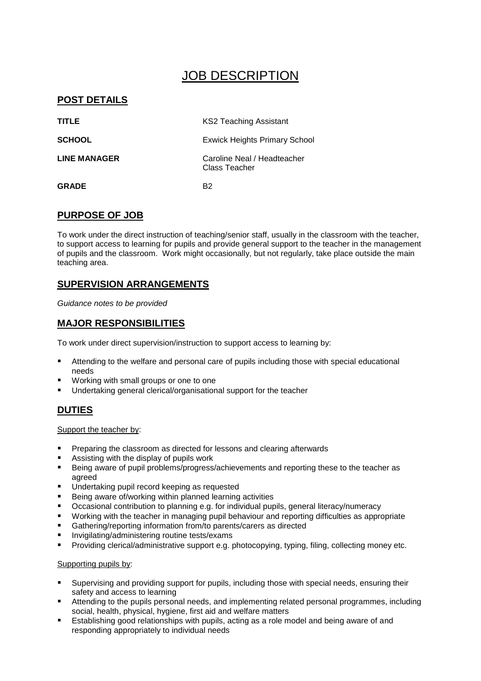## JOB DESCRIPTION

### **POST DETAILS**

| <b>TITLE</b>  | <b>KS2 Teaching Assistant</b>                |  |
|---------------|----------------------------------------------|--|
| <b>SCHOOL</b> | <b>Exwick Heights Primary School</b>         |  |
| LINE MANAGER  | Caroline Neal / Headteacher<br>Class Teacher |  |
| <b>GRADE</b>  | R2                                           |  |

## **PURPOSE OF JOB**

To work under the direct instruction of teaching/senior staff, usually in the classroom with the teacher, to support access to learning for pupils and provide general support to the teacher in the management of pupils and the classroom. Work might occasionally, but not regularly, take place outside the main teaching area.

## **SUPERVISION ARRANGEMENTS**

*Guidance notes to be provided*

#### **MAJOR RESPONSIBILITIES**

To work under direct supervision/instruction to support access to learning by:

- Attending to the welfare and personal care of pupils including those with special educational needs
- Working with small groups or one to one
- Undertaking general clerical/organisational support for the teacher

#### **DUTIES**

Support the teacher by:

- Preparing the classroom as directed for lessons and clearing afterwards
- Assisting with the display of pupils work
- Being aware of pupil problems/progress/achievements and reporting these to the teacher as agreed
- Undertaking pupil record keeping as requested
- Being aware of/working within planned learning activities
- Occasional contribution to planning e.g. for individual pupils, general literacy/numeracy
- Working with the teacher in managing pupil behaviour and reporting difficulties as appropriate
- Gathering/reporting information from/to parents/carers as directed
- **Invigilating/administering routine tests/exams**
- Providing clerical/administrative support e.g. photocopying, typing, filing, collecting money etc.

#### Supporting pupils by:

- Supervising and providing support for pupils, including those with special needs, ensuring their safety and access to learning
- Attending to the pupils personal needs, and implementing related personal programmes, including social, health, physical, hygiene, first aid and welfare matters
- Establishing good relationships with pupils, acting as a role model and being aware of and responding appropriately to individual needs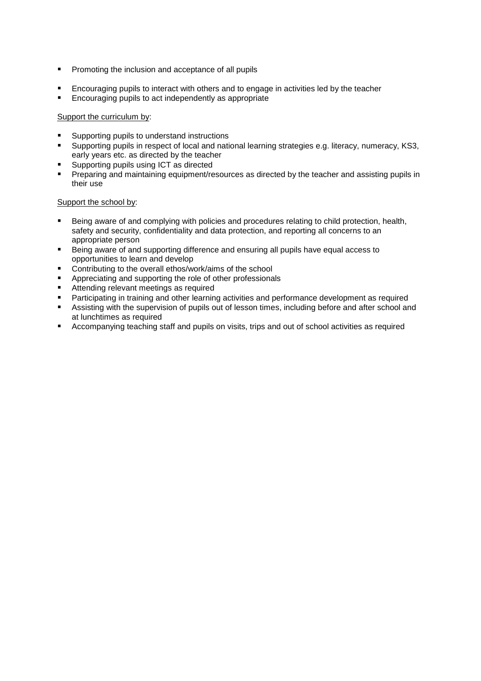- **Promoting the inclusion and acceptance of all pupils**
- Encouraging pupils to interact with others and to engage in activities led by the teacher
- Encouraging pupils to act independently as appropriate

#### Support the curriculum by:

- Supporting pupils to understand instructions
- Supporting pupils in respect of local and national learning strategies e.g. literacy, numeracy, KS3, early years etc. as directed by the teacher
- Supporting pupils using ICT as directed
- Preparing and maintaining equipment/resources as directed by the teacher and assisting pupils in their use

#### Support the school by:

- Being aware of and complying with policies and procedures relating to child protection, health, safety and security, confidentiality and data protection, and reporting all concerns to an appropriate person
- Being aware of and supporting difference and ensuring all pupils have equal access to opportunities to learn and develop
- Contributing to the overall ethos/work/aims of the school
- Appreciating and supporting the role of other professionals
- Attending relevant meetings as required
- Participating in training and other learning activities and performance development as required
- Assisting with the supervision of pupils out of lesson times, including before and after school and at lunchtimes as required
- Accompanying teaching staff and pupils on visits, trips and out of school activities as required